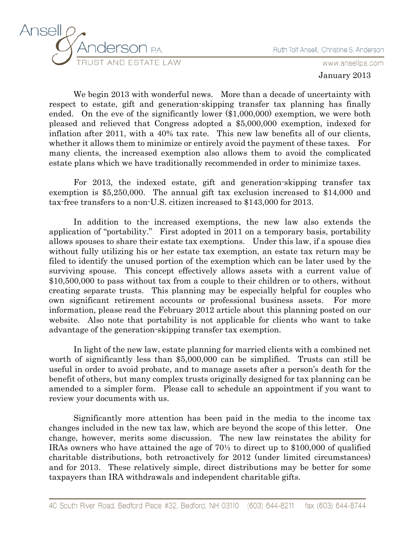



www.ansellpa.com

January 2013

We begin 2013 with wonderful news. More than a decade of uncertainty with respect to estate, gift and generation-skipping transfer tax planning has finally ended. On the eve of the significantly lower (\$1,000,000) exemption, we were both pleased and relieved that Congress adopted a \$5,000,000 exemption, indexed for inflation after 2011, with a 40% tax rate. This new law benefits all of our clients, whether it allows them to minimize or entirely avoid the payment of these taxes. For many clients, the increased exemption also allows them to avoid the complicated estate plans which we have traditionally recommended in order to minimize taxes.

For 2013, the indexed estate, gift and generation-skipping transfer tax exemption is \$5,250,000. The annual gift tax exclusion increased to \$14,000 and tax-free transfers to a non-U.S. citizen increased to \$143,000 for 2013.

In addition to the increased exemptions, the new law also extends the application of "portability." First adopted in 2011 on a temporary basis, portability allows spouses to share their estate tax exemptions. Under this law, if a spouse dies without fully utilizing his or her estate tax exemption, an estate tax return may be filed to identify the unused portion of the exemption which can be later used by the surviving spouse. This concept effectively allows assets with a current value of \$10,500,000 to pass without tax from a couple to their children or to others, without creating separate trusts. This planning may be especially helpful for couples who own significant retirement accounts or professional business assets. For more information, please read the February 2012 article about this planning posted on our website. Also note that portability is not applicable for clients who want to take advantage of the generation-skipping transfer tax exemption.

In light of the new law, estate planning for married clients with a combined net worth of significantly less than \$5,000,000 can be simplified. Trusts can still be useful in order to avoid probate, and to manage assets after a person's death for the benefit of others, but many complex trusts originally designed for tax planning can be amended to a simpler form. Please call to schedule an appointment if you want to review your documents with us.

Significantly more attention has been paid in the media to the income tax changes included in the new tax law, which are beyond the scope of this letter. One change, however, merits some discussion. The new law reinstates the ability for IRAs owners who have attained the age of 70½ to direct up to \$100,000 of qualified charitable distributions, both retroactively for 2012 (under limited circumstances) and for 2013. These relatively simple, direct distributions may be better for some taxpayers than IRA withdrawals and independent charitable gifts.